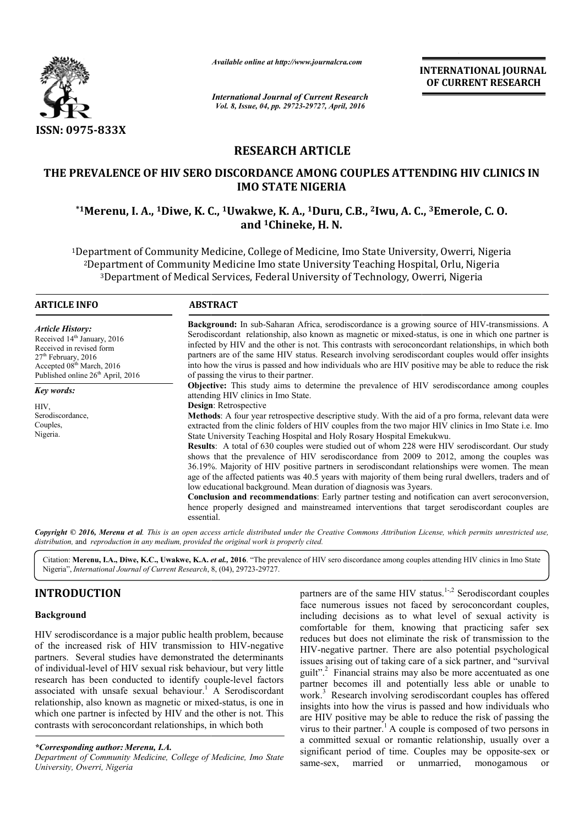

*Available online at http://www.journalcra.com*

# **RESEARCH ARTICLE**

## **THE PREVALENCE OF HIV SERO DISCORDANCE AMONG COUPLES ATTENDING HIV CLINICS IN IMO STATE NIGERIA**

## **\*1Merenu, I. A., 1Diwe, K. C C., 1Uwakwe, K. A., 1Duru, C.B., 2Iwu, A. C. ., 3Emerole, C. O. and 1Chineke, H. N.**

|                                                                                                                                                                                                                                                                                                                                                                                                                                                                                                                                                                                                               | unuvit vnime ui nup.//www.jvurnuitru.com                                                                                                                                                                                                                                                                                                                                                                                                                                                                                                                                                                                                                                                                                                                                                                                                                                                                                                                                                                                                                                                                                                                                                                                                                                                                                                                                                                                                                                                                                                                                                                                                                                                                                               |                         | <b>INTERNATIONAL JOURNAL</b><br>OF CURRENT RESEARCH                                                                                                                                                                                                                                                                                                                                                                                                                                                                                                                                                                                                                                                                                                                      |
|---------------------------------------------------------------------------------------------------------------------------------------------------------------------------------------------------------------------------------------------------------------------------------------------------------------------------------------------------------------------------------------------------------------------------------------------------------------------------------------------------------------------------------------------------------------------------------------------------------------|----------------------------------------------------------------------------------------------------------------------------------------------------------------------------------------------------------------------------------------------------------------------------------------------------------------------------------------------------------------------------------------------------------------------------------------------------------------------------------------------------------------------------------------------------------------------------------------------------------------------------------------------------------------------------------------------------------------------------------------------------------------------------------------------------------------------------------------------------------------------------------------------------------------------------------------------------------------------------------------------------------------------------------------------------------------------------------------------------------------------------------------------------------------------------------------------------------------------------------------------------------------------------------------------------------------------------------------------------------------------------------------------------------------------------------------------------------------------------------------------------------------------------------------------------------------------------------------------------------------------------------------------------------------------------------------------------------------------------------------|-------------------------|--------------------------------------------------------------------------------------------------------------------------------------------------------------------------------------------------------------------------------------------------------------------------------------------------------------------------------------------------------------------------------------------------------------------------------------------------------------------------------------------------------------------------------------------------------------------------------------------------------------------------------------------------------------------------------------------------------------------------------------------------------------------------|
|                                                                                                                                                                                                                                                                                                                                                                                                                                                                                                                                                                                                               | <b>International Journal of Current Research</b><br>Vol. 8, Issue, 04, pp. 29723-29727, April, 2016                                                                                                                                                                                                                                                                                                                                                                                                                                                                                                                                                                                                                                                                                                                                                                                                                                                                                                                                                                                                                                                                                                                                                                                                                                                                                                                                                                                                                                                                                                                                                                                                                                    |                         |                                                                                                                                                                                                                                                                                                                                                                                                                                                                                                                                                                                                                                                                                                                                                                          |
| ISSN: 0975-833X                                                                                                                                                                                                                                                                                                                                                                                                                                                                                                                                                                                               |                                                                                                                                                                                                                                                                                                                                                                                                                                                                                                                                                                                                                                                                                                                                                                                                                                                                                                                                                                                                                                                                                                                                                                                                                                                                                                                                                                                                                                                                                                                                                                                                                                                                                                                                        |                         |                                                                                                                                                                                                                                                                                                                                                                                                                                                                                                                                                                                                                                                                                                                                                                          |
|                                                                                                                                                                                                                                                                                                                                                                                                                                                                                                                                                                                                               |                                                                                                                                                                                                                                                                                                                                                                                                                                                                                                                                                                                                                                                                                                                                                                                                                                                                                                                                                                                                                                                                                                                                                                                                                                                                                                                                                                                                                                                                                                                                                                                                                                                                                                                                        | <b>RESEARCH ARTICLE</b> |                                                                                                                                                                                                                                                                                                                                                                                                                                                                                                                                                                                                                                                                                                                                                                          |
|                                                                                                                                                                                                                                                                                                                                                                                                                                                                                                                                                                                                               | <b>IMO STATE NIGERIA</b>                                                                                                                                                                                                                                                                                                                                                                                                                                                                                                                                                                                                                                                                                                                                                                                                                                                                                                                                                                                                                                                                                                                                                                                                                                                                                                                                                                                                                                                                                                                                                                                                                                                                                                               |                         | THE PREVALENCE OF HIV SERO DISCORDANCE AMONG COUPLES ATTENDING HIV CLINICS IN                                                                                                                                                                                                                                                                                                                                                                                                                                                                                                                                                                                                                                                                                            |
|                                                                                                                                                                                                                                                                                                                                                                                                                                                                                                                                                                                                               | *1Merenu, I. A., <sup>1</sup> Diwe, K. C., <sup>1</sup> Uwakwe, K. A., <sup>1</sup> Duru, C.B., <sup>2</sup> Iwu, A. C., <sup>3</sup> Emerole, C. O.<br>and <sup>1</sup> Chineke, H. N.                                                                                                                                                                                                                                                                                                                                                                                                                                                                                                                                                                                                                                                                                                                                                                                                                                                                                                                                                                                                                                                                                                                                                                                                                                                                                                                                                                                                                                                                                                                                                |                         |                                                                                                                                                                                                                                                                                                                                                                                                                                                                                                                                                                                                                                                                                                                                                                          |
|                                                                                                                                                                                                                                                                                                                                                                                                                                                                                                                                                                                                               | <sup>1</sup> Department of Community Medicine, College of Medicine, Imo State University, Owerri, Nigeria<br><sup>2</sup> Department of Community Medicine Imo state University Teaching Hospital, Orlu, Nigeria<br><sup>3</sup> Department of Medical Services, Federal University of Technology, Owerri, Nigeria                                                                                                                                                                                                                                                                                                                                                                                                                                                                                                                                                                                                                                                                                                                                                                                                                                                                                                                                                                                                                                                                                                                                                                                                                                                                                                                                                                                                                     |                         |                                                                                                                                                                                                                                                                                                                                                                                                                                                                                                                                                                                                                                                                                                                                                                          |
| <b>ARTICLE INFO</b>                                                                                                                                                                                                                                                                                                                                                                                                                                                                                                                                                                                           | <b>ABSTRACT</b>                                                                                                                                                                                                                                                                                                                                                                                                                                                                                                                                                                                                                                                                                                                                                                                                                                                                                                                                                                                                                                                                                                                                                                                                                                                                                                                                                                                                                                                                                                                                                                                                                                                                                                                        |                         |                                                                                                                                                                                                                                                                                                                                                                                                                                                                                                                                                                                                                                                                                                                                                                          |
| <b>Article History:</b><br>Received 14 <sup>th</sup> January, 2016<br>Received in revised form<br>27 <sup>th</sup> February, 2016<br>Accepted 08 <sup>th</sup> March, 2016<br>Published online 26 <sup>th</sup> April, 2016<br>Key words:<br>HIV,<br>Serodiscordance,<br>Couples,<br>Nigeria.                                                                                                                                                                                                                                                                                                                 | Background: In sub-Saharan Africa, serodiscordance is a growing source of HIV-transmissions. A<br>Serodiscordant relationship, also known as magnetic or mixed-status, is one in which one partner is<br>infected by HIV and the other is not. This contrasts with seroconcordant relationships, in which both<br>partners are of the same HIV status. Research involving serodiscordant couples would offer insights<br>into how the virus is passed and how individuals who are HIV positive may be able to reduce the risk<br>of passing the virus to their partner.<br>Objective: This study aims to determine the prevalence of HIV serodiscordance among couples<br>attending HIV clinics in Imo State.<br>Design: Retrospective<br>Methods: A four year retrospective descriptive study. With the aid of a pro forma, relevant data were<br>extracted from the clinic folders of HIV couples from the two major HIV clinics in Imo State i.e. Imo<br>State University Teaching Hospital and Holy Rosary Hospital Emekukwu.<br>Results: A total of 630 couples were studied out of whom 228 were HIV serodiscordant. Our study<br>shows that the prevalence of HIV serodiscordance from 2009 to 2012, among the couples was<br>36.19%. Majority of HIV positive partners in serodiscondant relationships were women. The mean<br>age of the affected patients was 40.5 years with majority of them being rural dwellers, traders and of<br>low educational background. Mean duration of diagnosis was 3years.<br>Conclusion and recommendations: Early partner testing and notification can avert seroconversion,<br>hence properly designed and mainstreamed interventions that target serodiscordant couples are<br>essential. |                         |                                                                                                                                                                                                                                                                                                                                                                                                                                                                                                                                                                                                                                                                                                                                                                          |
|                                                                                                                                                                                                                                                                                                                                                                                                                                                                                                                                                                                                               | distribution, and reproduction in any medium, provided the original work is properly cited.                                                                                                                                                                                                                                                                                                                                                                                                                                                                                                                                                                                                                                                                                                                                                                                                                                                                                                                                                                                                                                                                                                                                                                                                                                                                                                                                                                                                                                                                                                                                                                                                                                            |                         | Copyright © 2016, Merenu et al. This is an open access article distributed under the Creative Commons Attribution License, which permits unrestricted use,                                                                                                                                                                                                                                                                                                                                                                                                                                                                                                                                                                                                               |
|                                                                                                                                                                                                                                                                                                                                                                                                                                                                                                                                                                                                               | Nigeria", International Journal of Current Research, 8, (04), 29723-29727.                                                                                                                                                                                                                                                                                                                                                                                                                                                                                                                                                                                                                                                                                                                                                                                                                                                                                                                                                                                                                                                                                                                                                                                                                                                                                                                                                                                                                                                                                                                                                                                                                                                             |                         | Citation: Merenu, I.A., Diwe, K.C., Uwakwe, K.A. et al., 2016. "The prevalence of HIV sero discordance among couples attending HIV clinics in Imo State                                                                                                                                                                                                                                                                                                                                                                                                                                                                                                                                                                                                                  |
| <b>INTRODUCTION</b>                                                                                                                                                                                                                                                                                                                                                                                                                                                                                                                                                                                           |                                                                                                                                                                                                                                                                                                                                                                                                                                                                                                                                                                                                                                                                                                                                                                                                                                                                                                                                                                                                                                                                                                                                                                                                                                                                                                                                                                                                                                                                                                                                                                                                                                                                                                                                        |                         | partners are of the same HIV status. <sup>1-,2</sup> Serodiscordant couples<br>face numerous issues not faced by seroconcordant couples,                                                                                                                                                                                                                                                                                                                                                                                                                                                                                                                                                                                                                                 |
| <b>Background</b>                                                                                                                                                                                                                                                                                                                                                                                                                                                                                                                                                                                             |                                                                                                                                                                                                                                                                                                                                                                                                                                                                                                                                                                                                                                                                                                                                                                                                                                                                                                                                                                                                                                                                                                                                                                                                                                                                                                                                                                                                                                                                                                                                                                                                                                                                                                                                        |                         | including decisions as to what level of sexual activity is                                                                                                                                                                                                                                                                                                                                                                                                                                                                                                                                                                                                                                                                                                               |
| HIV serodiscordance is a major public health problem, because<br>of the increased risk of HIV transmission to HIV-negative<br>partners. Several studies have demonstrated the determinants<br>of individual-level of HIV sexual risk behaviour, but very little<br>research has been conducted to identify couple-level factors<br>associated with unsafe sexual behaviour. <sup>1</sup> A Serodiscordant<br>relationship, also known as magnetic or mixed-status, is one in<br>which one partner is infected by HIV and the other is not. This<br>contrasts with seroconcordant relationships, in which both |                                                                                                                                                                                                                                                                                                                                                                                                                                                                                                                                                                                                                                                                                                                                                                                                                                                                                                                                                                                                                                                                                                                                                                                                                                                                                                                                                                                                                                                                                                                                                                                                                                                                                                                                        |                         | comfortable for them, knowing that practicing safer sex<br>reduces but does not eliminate the risk of transmission to the<br>HIV-negative partner. There are also potential psychological<br>issues arising out of taking care of a sick partner, and "survival<br>guilt". <sup>2</sup> Financial strains may also be more accentuated as one<br>partner becomes ill and potentially less able or unable to<br>work. <sup>3</sup> Research involving serodiscordant couples has offered<br>insights into how the virus is passed and how individuals who<br>are HIV positive may be able to reduce the risk of passing the<br>virus to their partner. <sup>1</sup> A couple is composed of two persons in<br>a committed sexual or romantic relationship, usually over a |
| *Corresponding author: Merenu, I.A.<br>Department of Community Medicine, College of Medicine, Imo State<br>University Owers Nigeria                                                                                                                                                                                                                                                                                                                                                                                                                                                                           |                                                                                                                                                                                                                                                                                                                                                                                                                                                                                                                                                                                                                                                                                                                                                                                                                                                                                                                                                                                                                                                                                                                                                                                                                                                                                                                                                                                                                                                                                                                                                                                                                                                                                                                                        | married<br>same-sex,    | significant period of time. Couples may be opposite-sex or<br>unmarried,<br>monogamous<br>or<br>or                                                                                                                                                                                                                                                                                                                                                                                                                                                                                                                                                                                                                                                                       |

### **INTRODUCTION**

#### **Background**

#### *\*Corresponding author: Merenu, I.A.*

*Department of Community Medicine, College of Medicine, Imo State University, Owerri, Nigeria*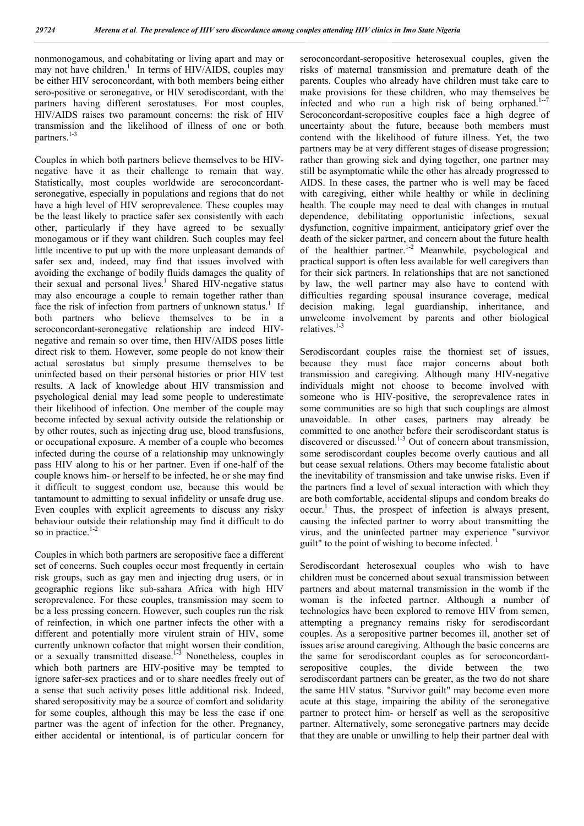nonmonogamous, and cohabitating or living apart and may or may not have children.<sup>1</sup> In terms of HIV/AIDS, couples may be either HIV seroconcordant, with both members being either sero-positive or seronegative, or HIV serodiscordant, with the partners having different serostatuses. For most couples, HIV/AIDS raises two paramount concerns: the risk of HIV transmission and the likelihood of illness of one or both partners.<sup>1-3</sup>

Couples in which both partners believe themselves to be HIVnegative have it as their challenge to remain that way. Statistically, most couples worldwide are seroconcordantseronegative, especially in populations and regions that do not have a high level of HIV seroprevalence. These couples may be the least likely to practice safer sex consistently with each other, particularly if they have agreed to be sexually monogamous or if they want children. Such couples may feel little incentive to put up with the more unpleasant demands of safer sex and, indeed, may find that issues involved with avoiding the exchange of bodily fluids damages the quality of their sexual and personal lives.<sup>1</sup> Shared HIV-negative status may also encourage a couple to remain together rather than face the risk of infection from partners of unknown status.<sup>1</sup> If both partners who believe themselves to be in a seroconcordant-seronegative relationship are indeed HIVnegative and remain so over time, then HIV/AIDS poses little direct risk to them. However, some people do not know their actual serostatus but simply presume themselves to be uninfected based on their personal histories or prior HIV test results. A lack of knowledge about HIV transmission and psychological denial may lead some people to underestimate their likelihood of infection. One member of the couple may become infected by sexual activity outside the relationship or by other routes, such as injecting drug use, blood transfusions, or occupational exposure. A member of a couple who becomes infected during the course of a relationship may unknowingly pass HIV along to his or her partner. Even if one-half of the couple knows him- or herself to be infected, he or she may find it difficult to suggest condom use, because this would be tantamount to admitting to sexual infidelity or unsafe drug use. Even couples with explicit agreements to discuss any risky behaviour outside their relationship may find it difficult to do so in practice.<sup>1-2</sup>

Couples in which both partners are seropositive face a different set of concerns. Such couples occur most frequently in certain risk groups, such as gay men and injecting drug users, or in geographic regions like sub-sahara Africa with high HIV seroprevalence. For these couples, transmission may seem to be a less pressing concern. However, such couples run the risk of reinfection, in which one partner infects the other with a different and potentially more virulent strain of HIV, some currently unknown cofactor that might worsen their condition, or a sexually transmitted disease.<sup>1-3</sup> Nonetheless, couples in which both partners are HIV-positive may be tempted to ignore safer-sex practices and or to share needles freely out of a sense that such activity poses little additional risk. Indeed, shared seropositivity may be a source of comfort and solidarity for some couples, although this may be less the case if one partner was the agent of infection for the other. Pregnancy, either accidental or intentional, is of particular concern for

seroconcordant-seropositive heterosexual couples, given the risks of maternal transmission and premature death of the parents. Couples who already have children must take care to make provisions for these children, who may themselves be infected and who run a high risk of being orphaned. $1-7$ Seroconcordant-seropositive couples face a high degree of uncertainty about the future, because both members must contend with the likelihood of future illness. Yet, the two partners may be at very different stages of disease progression; rather than growing sick and dying together, one partner may still be asymptomatic while the other has already progressed to AIDS. In these cases, the partner who is well may be faced with caregiving, either while healthy or while in declining health. The couple may need to deal with changes in mutual dependence, debilitating opportunistic infections, sexual dysfunction, cognitive impairment, anticipatory grief over the death of the sicker partner, and concern about the future health of the healthier partner.<sup>1-2</sup> Meanwhile, psychological and practical support is often less available for well caregivers than for their sick partners. In relationships that are not sanctioned by law, the well partner may also have to contend with difficulties regarding spousal insurance coverage, medical decision making, legal guardianship, inheritance, and unwelcome involvement by parents and other biological relatives.<sup>1-3</sup>

Serodiscordant couples raise the thorniest set of issues, because they must face major concerns about both transmission and caregiving. Although many HIV-negative individuals might not choose to become involved with someone who is HIV-positive, the seroprevalence rates in some communities are so high that such couplings are almost unavoidable. In other cases, partners may already be committed to one another before their serodiscordant status is discovered or discussed.<sup>1-3</sup> Out of concern about transmission, some serodiscordant couples become overly cautious and all but cease sexual relations. Others may become fatalistic about the inevitability of transmission and take unwise risks. Even if the partners find a level of sexual interaction with which they are both comfortable, accidental slipups and condom breaks do  $\mathrm{occur.}^1$  Thus, the prospect of infection is always present, causing the infected partner to worry about transmitting the virus, and the uninfected partner may experience "survivor guilt" to the point of wishing to become infected.  $\frac{1}{1}$ 

Serodiscordant heterosexual couples who wish to have children must be concerned about sexual transmission between partners and about maternal transmission in the womb if the woman is the infected partner. Although a number of technologies have been explored to remove HIV from semen, attempting a pregnancy remains risky for serodiscordant couples. As a seropositive partner becomes ill, another set of issues arise around caregiving. Although the basic concerns are the same for serodiscordant couples as for seroconcordantseropositive couples, the divide between the two serodiscordant partners can be greater, as the two do not share the same HIV status. "Survivor guilt" may become even more acute at this stage, impairing the ability of the seronegative partner to protect him- or herself as well as the seropositive partner. Alternatively, some seronegative partners may decide that they are unable or unwilling to help their partner deal with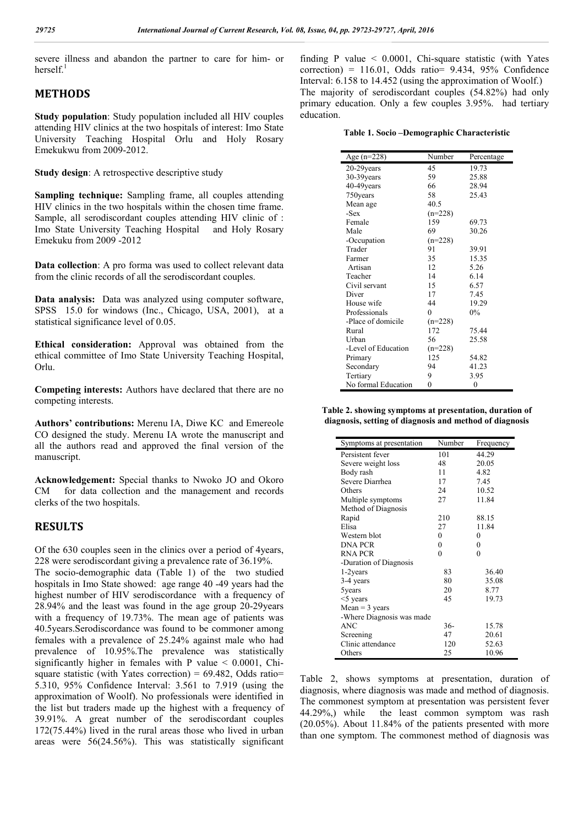severe illness and abandon the partner to care for him- or hersel $f<sup>1</sup>$ 

### **METHODS**

**Study population**: Study population included all HIV couples attending HIV clinics at the two hospitals of interest: Imo State University Teaching Hospital Orlu and Holy Rosary Emekukwu from 2009-2012.

**Study design:** A retrospective descriptive study

**Sampling technique:** Sampling frame, all couples attending HIV clinics in the two hospitals within the chosen time frame. Sample, all serodiscordant couples attending HIV clinic of : Imo State University Teaching Hospital and Holy Rosary Emekuku from 2009 -2012

**Data collection**: A pro forma was used to collect relevant data from the clinic records of all the serodiscordant couples.

**Data analysis:** Data was analyzed using computer software, SPSS 15.0 for windows (Inc., Chicago, USA, 2001), at a statistical significance level of 0.05.

**Ethical consideration:** Approval was obtained from the ethical committee of Imo State University Teaching Hospital, Orlu.

**Competing interests:** Authors have declared that there are no competing interests.

**Authors' contributions:** Merenu IA, Diwe KC and Emereole CO designed the study. Merenu IA wrote the manuscript and all the authors read and approved the final version of the manuscript.

**Acknowledgement:** Special thanks to Nwoko JO and Okoro CM for data collection and the management and records clerks of the two hospitals.

#### **RESULTS**

Of the 630 couples seen in the clinics over a period of 4years, 228 were serodiscordant giving a prevalence rate of 36.19%.

The socio-demographic data (Table 1) of the two studied hospitals in Imo State showed: age range 40 -49 years had the highest number of HIV serodiscordance with a frequency of 28.94% and the least was found in the age group 20-29years with a frequency of 19.73%. The mean age of patients was 40.5years.Serodiscordance was found to be commoner among females with a prevalence of 25.24% against male who had prevalence of 10.95%.The prevalence was statistically significantly higher in females with P value  $\leq 0.0001$ , Chisquare statistic (with Yates correction) =  $69.482$ , Odds ratio= 5.310, 95% Confidence Interval: 3.561 to 7.919 (using the approximation of Woolf). No professionals were identified in the list but traders made up the highest with a frequency of 39.91%. A great number of the serodiscordant couples 172(75.44%) lived in the rural areas those who lived in urban areas were 56(24.56%). This was statistically significant

finding P value < 0.0001, Chi-square statistic (with Yates correction) =  $116.01$ , Odds ratio=  $9.434$ ,  $95\%$  Confidence Interval: 6.158 to 14.452 (using the approximation of Woolf.) The majority of serodiscordant couples (54.82%) had only primary education. Only a few couples 3.95%. had tertiary education.

#### **Table 1. Socio –Demographic Characteristic**

| Age $(n=228)$       | Number    | Percentage |
|---------------------|-----------|------------|
| 20-29years          | 45        | 19.73      |
| $30-39$ years       | 59        | 25.88      |
| 40-49 years         | 66        | 28.94      |
| 750years            | 58        | 25.43      |
| Mean age            | 40.5      |            |
| $-Sex$              | $(n=228)$ |            |
| Female              | 159       | 69.73      |
| Male                | 69        | 30.26      |
| -Occupation         | $(n=228)$ |            |
| Trader              | 91        | 39.91      |
| Farmer              | 35        | 15.35      |
| Artisan             | 12        | 5.26       |
| Teacher             | 14        | 6.14       |
| Civil servant       | 15        | 6.57       |
| Diver               | 17        | 7.45       |
| House wife          | 44        | 19.29      |
| Professionals       | $\theta$  | $0\%$      |
| -Place of domicile  | $(n=228)$ |            |
| Rural               | 172       | 75.44      |
| Urban               | 56        | 25.58      |
| -Level of Education | $(n=228)$ |            |
| Primary             | 125       | 54.82      |
| Secondary           | 94        | 41.23      |
| Tertiary            | 9         | 3.95       |
| No formal Education | 0         | 0          |

**Table 2. showing symptoms at presentation, duration of diagnosis, setting of diagnosis and method of diagnosis**

| Symptoms at presentation  | Number   | Frequency |
|---------------------------|----------|-----------|
| Persistent fever          | 101      | 44.29     |
| Severe weight loss        | 48       | 20.05     |
| Body rash                 | 11       | 4.82      |
| Severe Diarrhea           | 17       | 7.45      |
| Others                    | 24       | 10.52     |
| Multiple symptoms         | 27       | 11.84     |
| Method of Diagnosis       |          |           |
| Rapid                     | 210      | 88.15     |
| Elisa                     | 27       | 11.84     |
| Western blot              | 0        | 0         |
| <b>DNA PCR</b>            | $\theta$ | 0         |
| RNA PCR                   | $\Omega$ | $\Omega$  |
| -Duration of Diagnosis    |          |           |
| 1-2years                  | 83       | 36.40     |
| 3-4 years                 | 80       | 35.08     |
| 5years                    | 20       | 8.77      |
| $<$ 5 years               | 45       | 19.73     |
| Mean = $3$ years          |          |           |
| -Where Diagnosis was made |          |           |
| ANC                       | $36-$    | 15.78     |
| Screening                 | 47       | 20.61     |
| Clinic attendance         | 120      | 52.63     |
| Others                    | 25       | 10.96     |

Table 2, shows symptoms at presentation, duration of diagnosis, where diagnosis was made and method of diagnosis. The commonest symptom at presentation was persistent fever 44.29%,) while the least common symptom was rash (20.05%). About 11.84% of the patients presented with more than one symptom. The commonest method of diagnosis was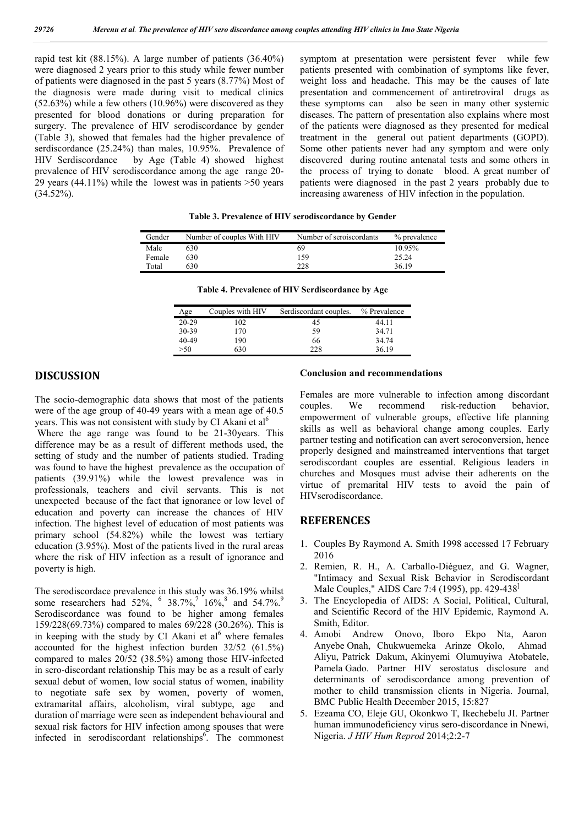rapid test kit (88.15%). A large number of patients (36.40%) were diagnosed 2 years prior to this study while fewer number of patients were diagnosed in the past 5 years (8.77%) Most of the diagnosis were made during visit to medical clinics (52.63%) while a few others (10.96%) were discovered as they presented for blood donations or during preparation for surgery. The prevalence of HIV serodiscordance by gender (Table 3), showed that females had the higher prevalence of serdiscordance (25.24%) than males, 10.95%. Prevalence of HIV Serdiscordance by Age (Table 4) showed highest prevalence of HIV serodiscordance among the age range 20- 29 years  $(44.11\%)$  while the lowest was in patients  $>50$  years  $(34.52\%)$ .

symptom at presentation were persistent fever while few patients presented with combination of symptoms like fever, weight loss and headache. This may be the causes of late presentation and commencement of antiretroviral drugs as these symptoms can also be seen in many other systemic diseases. The pattern of presentation also explains where most of the patients were diagnosed as they presented for medical treatment in the general out patient departments (GOPD). Some other patients never had any symptom and were only discovered during routine antenatal tests and some others in the process of trying to donate blood. A great number of patients were diagnosed in the past 2 years probably due to increasing awareness of HIV infection in the population.

**Table 3. Prevalence of HIV serodiscordance by Gender**

| Gender | Number of couples With HIV | Number of seroiscordants | % prevalence |
|--------|----------------------------|--------------------------|--------------|
| Male   | 630                        | 69                       | $10.95\%$    |
| Female | 630                        | 159                      | 25.24        |
| Total  | 630                        | 228                      | 36.19        |

| Table 4. Prevalence of HIV Serdiscordance by Age |  |  |
|--------------------------------------------------|--|--|
|--------------------------------------------------|--|--|

| Age   | Couples with HIV | Serdiscordant couples. | % Prevalence |
|-------|------------------|------------------------|--------------|
| 20-29 | 102              | 45                     | 44.11        |
| 30-39 | 170              | 59                     | 34.71        |
| 40-49 | 190              | 66                     | 34.74        |
| >50   | 630              | 228                    | 36.19        |

### **DISCUSSION**

The socio-demographic data shows that most of the patients were of the age group of 40-49 years with a mean age of 40.5 years. This was not consistent with study by CI Akani et al<sup>6</sup>

Where the age range was found to be 21-30years. This difference may be as a result of different methods used, the setting of study and the number of patients studied. Trading was found to have the highest prevalence as the occupation of patients (39.91%) while the lowest prevalence was in professionals, teachers and civil servants. This is not unexpected because of the fact that ignorance or low level of education and poverty can increase the chances of HIV infection. The highest level of education of most patients was primary school (54.82%) while the lowest was tertiary education (3.95%). Most of the patients lived in the rural areas where the risk of HIV infection as a result of ignorance and poverty is high.

The serodiscordace prevalence in this study was 36.19% whilst some researchers had  $52\%$ ,  $^{6}$   $38.7\%$ ,  $^{7}$   $16\%$ ,  $^{8}$  and  $54.7\%$ . Serodiscordance was found to be higher among females 159/228(69.73%) compared to males 69/228 (30.26%). This is in keeping with the study by CI Akani et  $al<sup>6</sup>$  where females accounted for the highest infection burden 32/52 (61.5%) compared to males 20/52 (38.5%) among those HIV-infected in sero-discordant relationship This may be as a result of early sexual debut of women, low social status of women, inability to negotiate safe sex by women, poverty of women, extramarital affairs, alcoholism, viral subtype, age and duration of marriage were seen as independent behavioural and sexual risk factors for HIV infection among spouses that were infected in serodiscordant relationships<sup>6</sup>. The commonest

#### **Conclusion and recommendations**

Females are more vulnerable to infection among discordant couples. We recommend risk-reduction behavior, empowerment of vulnerable groups, effective life planning skills as well as behavioral change among couples. Early partner testing and notification can avert seroconversion, hence properly designed and mainstreamed interventions that target serodiscordant couples are essential. Religious leaders in churches and Mosques must advise their adherents on the virtue of premarital HIV tests to avoid the pain of HIVserodiscordance.

### **REFERENCES**

- 1. Couples By Raymond A. Smith 1998 accessed 17 February 2016
- 2. Remien, R. H., A. Carballo-Diéguez, and G. Wagner, "Intimacy and Sexual Risk Behavior in Serodiscordant Male Couples," AIDS Care 7:4 (1995), pp. 429-438<sup>1</sup>
- 3. The Encyclopedia of AIDS: A Social, Political, Cultural, and Scientific Record of the HIV Epidemic, Raymond A. Smith, Editor.
- 4. Amobi Andrew Onovo, Iboro Ekpo Nta, Aaron Anyebe Onah, Chukwuemeka Arinze Okolo, Ahmad Aliyu, Patrick Dakum, Akinyemi Olumuyiwa Atobatele, Pamela Gado. Partner HIV serostatus disclosure and determinants of serodiscordance among prevention of mother to child transmission clients in Nigeria. Journal, BMC Public Health December 2015, 15:827
- 5. Ezeama CO, Eleje GU, Okonkwo T, Ikechebelu JI. Partner human immunodeficiency virus sero-discordance in Nnewi, Nigeria. *J HIV Hum Reprod* 2014;2:2-7